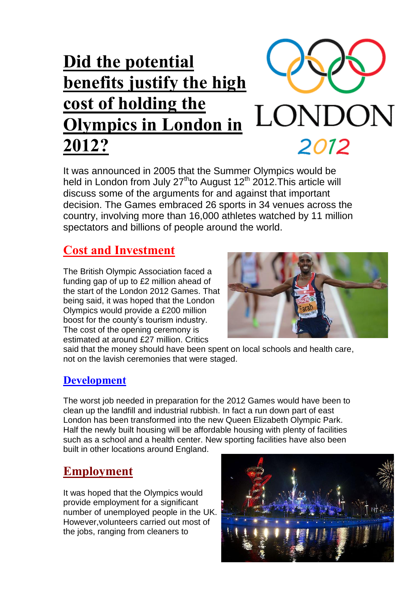# **Did the potential benefits justify the high cost of holding the**  LONDON **Olympics in London in 2012?** 2012

It was announced in 2005 that the Summer Olympics would be held in London from July  $27<sup>th</sup>$  to August 12<sup>th</sup> 2012. This article will discuss some of the arguments for and against that important decision. The Games embraced 26 sports in 34 venues across the country, involving more than 16,000 athletes watched by 11 million spectators and billions of people around the world.

### **Cost and Investment**

The British Olympic Association faced a funding gap of up to £2 million ahead of the start of the London 2012 Games. That being said, it was hoped that the London Olympics would provide a £200 million boost for the county's tourism industry. The cost of the opening ceremony is estimated at around £27 million. Critics



said that the money should have been spent on local schools and health care, not on the lavish ceremonies that were staged.

#### **Development**

The worst job needed in preparation for the 2012 Games would have been to clean up the landfill and industrial rubbish. In fact a run down part of east London has been transformed into the new Queen Elizabeth Olympic Park. Half the newly built housing will be affordable housing with plenty of facilities such as a school and a health center. New sporting facilities have also been built in other locations around England.

#### **Employment**

It was hoped that the Olympics would provide employment for a significant number of unemployed people in the UK. However,volunteers carried out most of the jobs, ranging from cleaners to

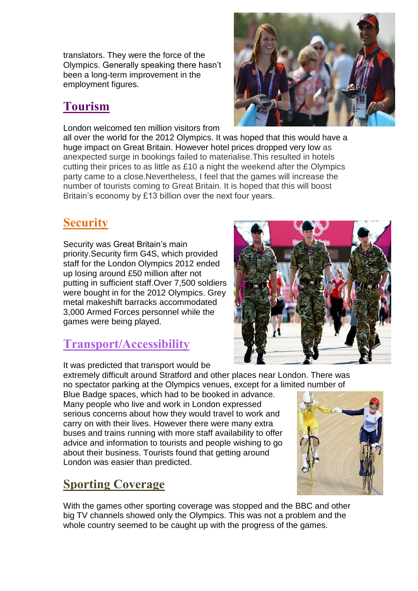translators. They were the force of the Olympics. Generally speaking there hasn't been a long-term improvement in the employment figures.

## **Tourism**

London welcomed ten million visitors from



all over the world for the 2012 Olympics. It was hoped that this would have a huge impact on Great Britain. However hotel prices dropped very low as anexpected surge in bookings failed to materialise.This resulted in hotels cutting their prices to as little as £10 a night the weekend after the Olympics party came to a close.Nevertheless, I feel that the games will increase the number of tourists coming to Great Britain. It is hoped that this will boost Britain's economy by £13 billion over the next four years.

## **Security**

Security was Great Britain's main priority.Security firm G4S, which provided staff for the London Olympics 2012 ended up losing around £50 million after not putting in sufficient staff.Over 7,500 soldiers were bought in for the 2012 Olympics. Grey metal makeshift barracks accommodated 3,000 Armed Forces personnel while the games were being played.

#### **Transport/Accessibility**

It was predicted that transport would be

extremely difficult around Stratford and other places near London. There was no spectator parking at the Olympics venues, except for a limited number of

Blue Badge spaces, which had to be booked in advance. Many people who live and work in London expressed serious concerns about how they would travel to work and carry on with their lives. However there were many extra buses and trains running with more staff availability to offer advice and information to tourists and people wishing to go about their business. Tourists found that getting around London was easier than predicted.

## **Sporting Coverage**

With the games other sporting coverage was stopped and the BBC and other big TV channels showed only the Olympics. This was not a problem and the whole country seemed to be caught up with the progress of the games.